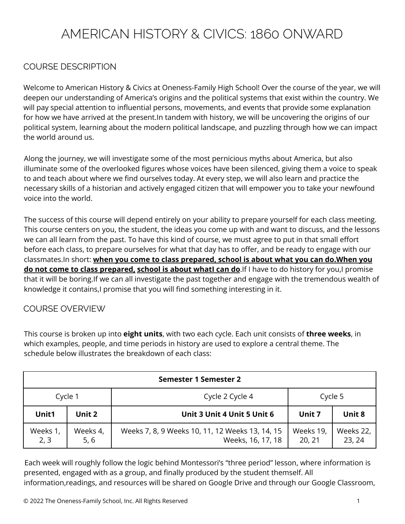# AMERICAN HISTORY & CIVICS: 1860 ONWARD

## COURSE DESCRIPTION

Welcome to American History & Civics at Oneness-Family High School! Over the course of the year, we will deepen our understanding of America's origins and the political systems that exist within the country. We will pay special attention to influential persons, movements, and events that provide some explanation for how we have arrived at the present.In tandem with history, we will be uncovering the origins of our political system, learning about the modern political landscape, and puzzling through how we can impact the world around us.

Along the journey, we will investigate some of the most pernicious myths about America, but also illuminate some of the overlooked figures whose voices have been silenced, giving them a voice to speak to and teach about where we find ourselves today. At every step, we will also learn and practice the necessary skills of a historian and actively engaged citizen that will empower you to take your newfound voice into the world.

The success of this course will depend entirely on your ability to prepare yourself for each class meeting. This course centers on you, the student, the ideas you come up with and want to discuss, and the lessons we can all learn from the past. To have this kind of course, we must agree to put in that small effort before each class, to prepare ourselves for what that day has to offer, and be ready to engage with our classmates.In short: **when you come to class prepared, school is about what you can do.When you do not come to class prepared, school is about whatI can do**.If I have to do history for you,I promise that it will be boring.If we can all investigate the past together and engage with the tremendous wealth of knowledge it contains, I promise that you will find something interesting in it.

## COURSE OVERVIEW

This course is broken up into **eight units**, with two each cycle. Each unit consists of **three weeks**, in which examples, people, and time periods in history are used to explore a central theme. The schedule below illustrates the breakdown of each class:

| <b>Semester 1 Semester 2</b> |                  |                                                                      |                     |                     |  |  |  |
|------------------------------|------------------|----------------------------------------------------------------------|---------------------|---------------------|--|--|--|
| Cycle 1                      |                  | Cycle 2 Cycle 4                                                      | Cycle 5             |                     |  |  |  |
| Unit1                        | Unit 2           | Unit 3 Unit 4 Unit 5 Unit 6                                          | Unit 7              | Unit 8              |  |  |  |
| Weeks 1,<br>2, 3             | Weeks 4,<br>5, 6 | Weeks 7, 8, 9 Weeks 10, 11, 12 Weeks 13, 14, 15<br>Weeks, 16, 17, 18 | Weeks 19,<br>20, 21 | Weeks 22,<br>23, 24 |  |  |  |

Each week will roughly follow the logic behind Montessori's "three period" lesson, where information is presented, engaged with as a group, and finally produced by the student themself. All information,readings, and resources will be shared on Google Drive and through our Google Classroom,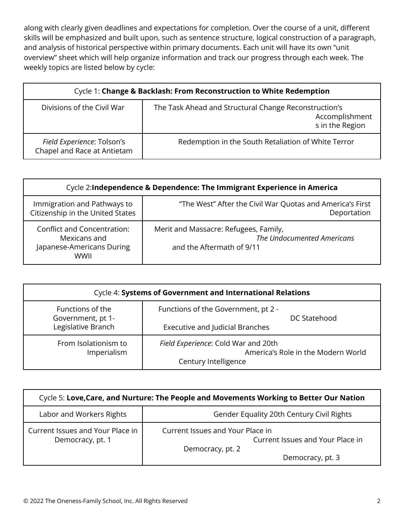along with clearly given deadlines and expectations for completion. Over the course of a unit, different skills will be emphasized and built upon, such as sentence structure, logical construction of a paragraph, and analysis of historical perspective within primary documents. Each unit will have its own "unit overview" sheet which will help organize information and track our progress through each week. The weekly topics are listed below by cycle:

| Cycle 1: Change & Backlash: From Reconstruction to White Redemption |                                                                                            |  |  |  |
|---------------------------------------------------------------------|--------------------------------------------------------------------------------------------|--|--|--|
| Divisions of the Civil War                                          | The Task Ahead and Structural Change Reconstruction's<br>Accomplishment<br>s in the Region |  |  |  |
| Field Experience: Tolson's<br>Chapel and Race at Antietam           | Redemption in the South Retaliation of White Terror                                        |  |  |  |

| Cycle 2: Independence & Dependence: The Immigrant Experience in America                 |                                                                                                  |  |  |  |
|-----------------------------------------------------------------------------------------|--------------------------------------------------------------------------------------------------|--|--|--|
| Immigration and Pathways to<br>Citizenship in the United States                         | "The West" After the Civil War Quotas and America's First<br>Deportation                         |  |  |  |
| <b>Conflict and Concentration:</b><br>Mexicans and<br>Japanese-Americans During<br>WWII | Merit and Massacre: Refugees, Family,<br>The Undocumented Americans<br>and the Aftermath of 9/11 |  |  |  |

| Cycle 4: Systems of Government and International Relations  |                                                                                                   |  |  |  |
|-------------------------------------------------------------|---------------------------------------------------------------------------------------------------|--|--|--|
| Functions of the<br>Government, pt 1-<br>Legislative Branch | Functions of the Government, pt 2 -<br>DC Statehood<br><b>Executive and Judicial Branches</b>     |  |  |  |
| From Isolationism to<br>Imperialism                         | Field Experience: Cold War and 20th<br>America's Role in the Modern World<br>Century Intelligence |  |  |  |

| Cycle 5: Love, Care, and Nurture: The People and Movements Working to Better Our Nation |                                                                                                              |  |  |  |
|-----------------------------------------------------------------------------------------|--------------------------------------------------------------------------------------------------------------|--|--|--|
| Labor and Workers Rights                                                                | Gender Equality 20th Century Civil Rights                                                                    |  |  |  |
| Current Issues and Your Place in<br>Democracy, pt. 1                                    | Current Issues and Your Place in<br>Current Issues and Your Place in<br>Democracy, pt. 2<br>Democracy, pt. 3 |  |  |  |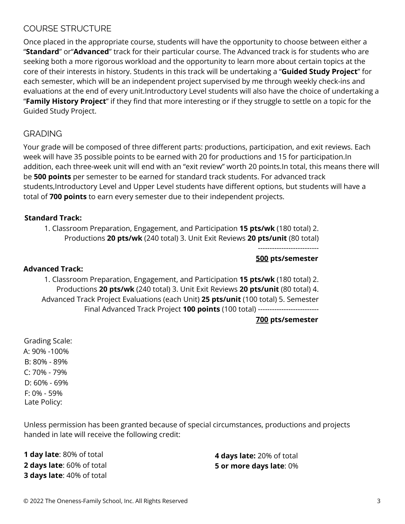## COURSE STRUCTURE

Once placed in the appropriate course, students will have the opportunity to choose between either a "**Standard**" or"**Advanced**" track for their particular course. The Advanced track is for students who are seeking both a more rigorous workload and the opportunity to learn more about certain topics at the core of their interests in history. Students in this track will be undertaking a "**Guided Study Project**" for each semester, which will be an independent project supervised by me through weekly check-ins and evaluations at the end of every unit.Introductory Level students will also have the choice of undertaking a "**Family History Project**" if they find that more interesting or if they struggle to settle on a topic for the Guided Study Project.

## GRADING

Your grade will be composed of three different parts: productions, participation, and exit reviews. Each week will have 35 possible points to be earned with 20 for productions and 15 for participation.In addition, each three-week unit will end with an "exit review" worth 20 points.In total, this means there will be **500 points** per semester to be earned for standard track students. For advanced track students,Introductory Level and Upper Level students have different options, but students will have a total of **700 points** to earn every semester due to their independent projects.

## **Standard Track:**

1. Classroom Preparation, Engagement, and Participation **15 pts/wk** (180 total) 2. Productions **20 pts/wk** (240 total) 3. Unit Exit Reviews **20 pts/unit** (80 total)

> -------------------------- **500 pts/semester**

#### **Advanced Track:**

1. Classroom Preparation, Engagement, and Participation **15 pts/wk** (180 total) 2. Productions **20 pts/wk** (240 total) 3. Unit Exit Reviews **20 pts/unit** (80 total) 4. Advanced Track Project Evaluations (each Unit) **25 pts/unit** (100 total) 5. Semester Final Advanced Track Project **100 points** (100 total) --------------------------

**700 pts/semester**

Grading Scale: A: 90% -100% B: 80% - 89% C: 70% - 79% D: 60% - 69% F: 0% - 59% Late Policy:

Unless permission has been granted because of special circumstances, productions and projects handed in late will receive the following credit:

**1 day late**: 80% of total **2 days late**: 60% of total **3 days late**: 40% of total

**4 days late:** 20% of total **5 or more days late**: 0%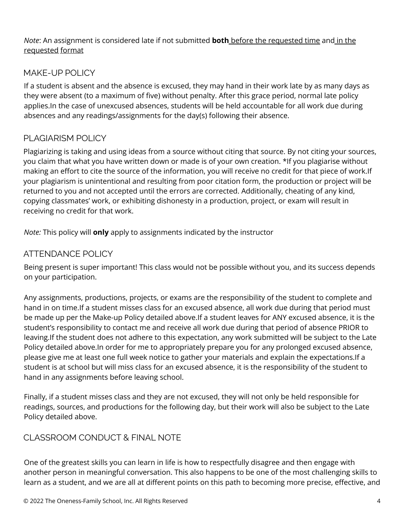*Note*: An assignment is considered late if not submitted **both** before the requested time and in the requested format

## MAKE-UP POLICY

If a student is absent and the absence is excused, they may hand in their work late by as many days as they were absent (to a maximum of five) without penalty. After this grace period, normal late policy applies.In the case of unexcused absences, students will be held accountable for all work due during absences and any readings/assignments for the day(s) following their absence.

# PLAGIARISM POLICY

Plagiarizing is taking and using ideas from a source without citing that source. By not citing your sources, you claim that what you have written down or made is of your own creation. \*If you plagiarise without making an effort to cite the source of the information, you will receive no credit for that piece of work.If your plagiarism is unintentional and resulting from poor citation form, the production or project will be returned to you and not accepted until the errors are corrected. Additionally, cheating of any kind, copying classmates' work, or exhibiting dishonesty in a production, project, or exam will result in receiving no credit for that work.

*Note:* This policy will **only** apply to assignments indicated by the instructor

## ATTENDANCE POLICY

Being present is super important! This class would not be possible without you, and its success depends on your participation.

Any assignments, productions, projects, or exams are the responsibility of the student to complete and hand in on time.If a student misses class for an excused absence, all work due during that period must be made up per the Make-up Policy detailed above.If a student leaves for ANY excused absence, it is the student's responsibility to contact me and receive all work due during that period of absence PRIOR to leaving.If the student does not adhere to this expectation, any work submitted will be subject to the Late Policy detailed above.In order for me to appropriately prepare you for any prolonged excused absence, please give me at least one full week notice to gather your materials and explain the expectations.If a student is at school but will miss class for an excused absence, it is the responsibility of the student to hand in any assignments before leaving school.

Finally, if a student misses class and they are not excused, they will not only be held responsible for readings, sources, and productions for the following day, but their work will also be subject to the Late Policy detailed above.

# CLASSROOM CONDUCT & FINAL NOTE

One of the greatest skills you can learn in life is how to respectfully disagree and then engage with another person in meaningful conversation. This also happens to be one of the most challenging skills to learn as a student, and we are all at different points on this path to becoming more precise, effective, and